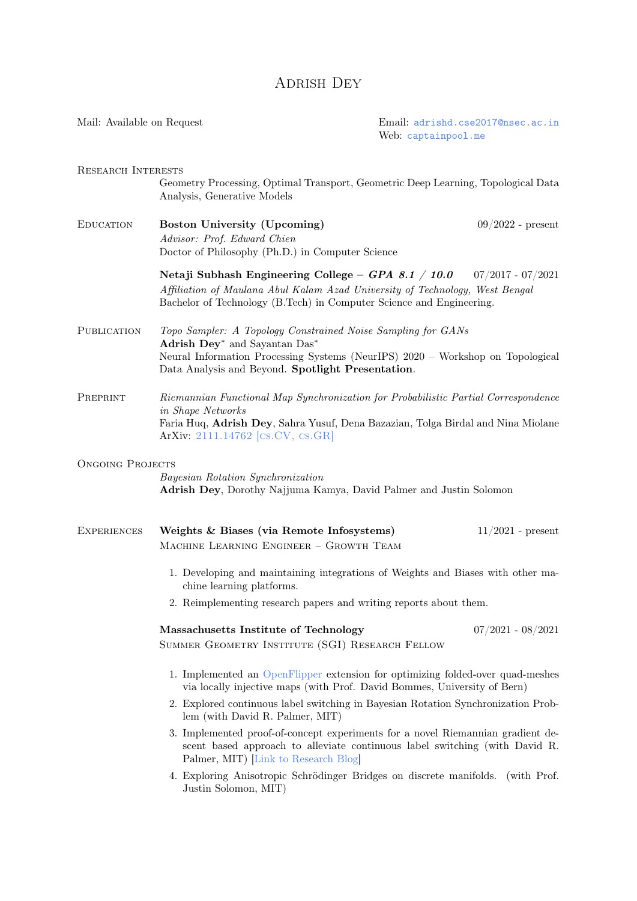# ADRISH DEY

<span id="page-0-0"></span>

| Mail: Available on Request |                                                                                                                                                                                                                                                              | Email: adrishd.cse2017@nsec.ac.in<br>Web: captainpool.me |                     |
|----------------------------|--------------------------------------------------------------------------------------------------------------------------------------------------------------------------------------------------------------------------------------------------------------|----------------------------------------------------------|---------------------|
| <b>RESEARCH INTERESTS</b>  | Geometry Processing, Optimal Transport, Geometric Deep Learning, Topological Data<br>Analysis, Generative Models                                                                                                                                             |                                                          |                     |
| EDUCATION                  | Boston University (Upcoming)<br>Advisor: Prof. Edward Chien<br>Doctor of Philosophy (Ph.D.) in Computer Science                                                                                                                                              |                                                          | $09/2022$ - present |
|                            | Netaji Subhash Engineering College - GPA 8.1 / 10.0 $07/2017 - 07/2021$<br>Affiliation of Maulana Abul Kalam Azad University of Technology, West Bengal<br>Bachelor of Technology (B.Tech) in Computer Science and Engineering.                              |                                                          |                     |
| PUBLICATION                | Topo Sampler: A Topology Constrained Noise Sampling for GANs<br>Adrish Dey <sup>*</sup> and Sayantan Das <sup>*</sup><br>Neural Information Processing Systems (NeurIPS) 2020 - Workshop on Topological<br>Data Analysis and Beyond. Spotlight Presentation. |                                                          |                     |
| PREPRINT                   | Riemannian Functional Map Synchronization for Probabilistic Partial Correspondence<br>in Shape Networks<br>Faria Huq, Adrish Dey, Sahra Yusuf, Dena Bazazian, Tolga Birdal and Nina Miolane<br>ArXiv: 2111.14762 [CS.CV, CS.GR]                              |                                                          |                     |
| <b>ONGOING PROJECTS</b>    | Bayesian Rotation Synchronization<br>Adrish Dey, Dorothy Najjuma Kamya, David Palmer and Justin Solomon                                                                                                                                                      |                                                          |                     |
| <b>EXPERIENCES</b>         | Weights & Biases (via Remote Infosystems)<br>MACHINE LEARNING ENGINEER - GROWTH TEAM                                                                                                                                                                         |                                                          | $11/2021$ - present |
|                            | 1. Developing and maintaining integrations of Weights and Biases with other ma-<br>chine learning platforms.                                                                                                                                                 |                                                          |                     |
|                            | 2. Reimplementing research papers and writing reports about them.                                                                                                                                                                                            |                                                          |                     |
|                            | Massachusetts Institute of Technology<br>SUMMER GEOMETRY INSTITUTE (SGI) RESEARCH FELLOW                                                                                                                                                                     |                                                          | $07/2021 - 08/2021$ |
|                            | 1. Implemented an OpenFlipper extension for optimizing folded-over quad-meshes<br>via locally injective maps (with Prof. David Bommes, University of Bern)                                                                                                   |                                                          |                     |
|                            | 2. Explored continuous label switching in Bayesian Rotation Synchronization Prob-<br>lem (with David R. Palmer, MIT)                                                                                                                                         |                                                          |                     |
|                            | 3. Implemented proof-of-concept experiments for a novel Riemannian gradient de-<br>scent based approach to alleviate continuous label switching (with David R.<br>Palmer, MIT) Link to Research Blog                                                         |                                                          |                     |
|                            | 4 Evrologing Anisotropic Schrödinger Bridges on discrete manifolds (with Prof                                                                                                                                                                                |                                                          |                     |

4. Exploring Anisotropic Schrödinger Bridges on discrete manifolds. (with Prof. Justin Solomon, MIT)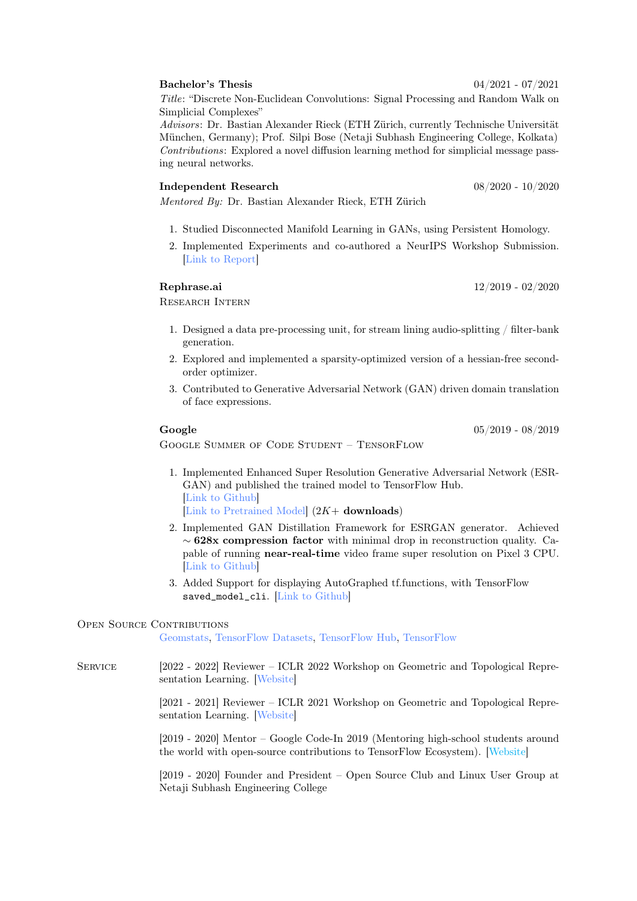#### Bachelor's Thesis 04/2021 - 07/2021

Title: "Discrete Non-Euclidean Convolutions: Signal Processing and Random Walk on Simplicial Complexes"

Advisors: Dr. Bastian Alexander Rieck (ETH Zürich, currently Technische Universität München, Germany); Prof. Silpi Bose (Netaji Subhash Engineering College, Kolkata) Contributions: Explored a novel diffusion learning method for simplicial message passing neural networks.

#### Independent Research 08/2020 - 10/2020

Mentored By: Dr. Bastian Alexander Rieck, ETH Zürich

- 1. Studied Disconnected Manifold Learning in GANs, using Persistent Homology.
- 2. Implemented Experiments and co-authored a NeurIPS Workshop Submission. [\[Link to Report\]](https://openreview.net/pdf?id=OTxZfmVFlTO)

### Rephrase.ai 12/2019 - 02/2020

Research Intern

- 1. Designed a data pre-processing unit, for stream lining audio-splitting / filter-bank generation.
- 2. Explored and implemented a sparsity-optimized version of a hessian-free secondorder optimizer.
- 3. Contributed to Generative Adversarial Network (GAN) driven domain translation of face expressions.

## Google 05/2019 - 08/2019

Google Summer of Code Student – TensorFlow

- 1. Implemented Enhanced Super Resolution Generative Adversarial Network (ESR-GAN) and published the trained model to TensorFlow Hub. [\[Link to Github\]](https://github.com/captain-pool/GSOC/tree/master/E2_ESRGAN) [\[Link to Pretrained Model\]](https://tfhub.dev/captain-pool/esrgan-tf2/1)  $(2K+$  **downloads**)
- 2. Implemented GAN Distillation Framework for ESRGAN generator. Achieved  $\sim$  628x compression factor with minimal drop in reconstruction quality. Capable of running near-real-time video frame super resolution on Pixel 3 CPU. [\[Link to Github\]](https://github.com/captain-pool/GSOC/tree/master/E3_Streamer)
- 3. Added Support for displaying AutoGraphed tf.functions, with TensorFlow saved\_model\_cli. [\[Link to Github\]](https://github.com/tensorflow/tensorflow/pull/30752)

## OPEN SOURCE CONTRIBUTIONS

[Geomstats,](https://github.com/geomstats/geomstats/pulls?q=author:captain-pool) [TensorFlow Datasets,](https://github.com/tensorflow/datasets/pulls?q=author:captain-pool) [TensorFlow Hub,](https://github.com/tensorflow/hub/pulls?q=author:captain-pool) [TensorFlow](https://github.com/tensorflow/tensorflow/pulls?q=author:captain-pool)

Service [2022 - 2022] Reviewer – ICLR 2022 Workshop on Geometric and Topological Representation Learning. [\[Website\]](https://gt-rl.github.io)

> [2021 - 2021] Reviewer – ICLR 2021 Workshop on Geometric and Topological Representation Learning. [\[Website\]](https://gt-rl.github.io/2021)

> [2019 - 2020] Mentor – Google Code-In 2019 (Mentoring high-school students around the world with open-source contributions to TensorFlow Ecosystem). [\[Website\]](#page-0-0)

> [2019 - 2020] Founder and President – Open Source Club and Linux User Group at Netaji Subhash Engineering College